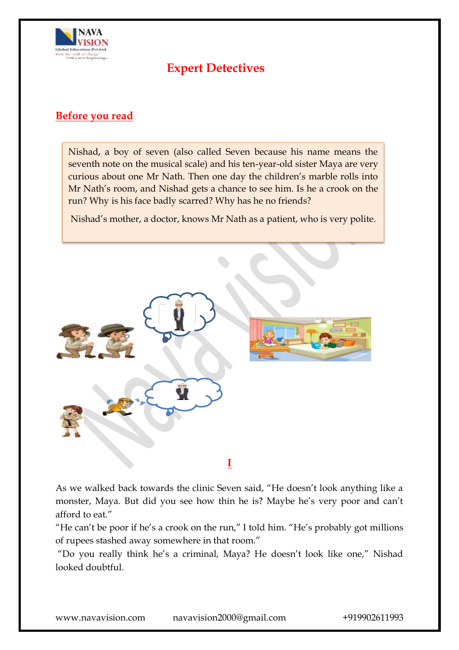

# **Expert Detectives**

### **Before you read**

Nishad, a boy of seven (also called Seven because his name means the seventh note on the musical scale) and his ten-year-old sister Maya are very curious about one Mr Nath. Then one day the children's marble rolls into Mr Nath's room, and Nishad gets a chance to see him. Is he a crook on the run? Why is his face badly scarred? Why has he no friends?

Nishad's mother, a doctor, knows Mr Nath as a patient, who is very polite.



As we walked back towards the clinic Seven said, "He doesn't look anything like a monster, Maya. But did you see how thin he is? Maybe he's very poor and can't afford to eat."

"He can't be poor if he's a crook on the run," I told him. "He's probably got millions of rupees stashed away somewhere in that room."

"Do you really think he's a criminal, Maya? He doesn't look like one," Nishad looked doubtful.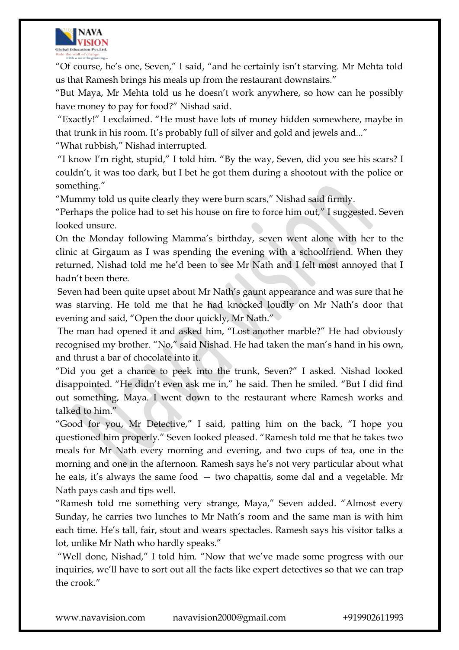

"Of course, he's one, Seven," I said, "and he certainly isn't starving. Mr Mehta told us that Ramesh brings his meals up from the restaurant downstairs."

―But Maya, Mr Mehta told us he doesn't work anywhere, so how can he possibly have money to pay for food?" Nishad said.

―Exactly!‖ I exclaimed. ―He must have lots of money hidden somewhere, maybe in that trunk in his room. It's probably full of silver and gold and jewels and..."

―What rubbish,‖ Nishad interrupted.

"I know I'm right, stupid," I told him. "By the way, Seven, did you see his scars? I couldn't, it was too dark, but I bet he got them during a shootout with the police or something."

"Mummy told us quite clearly they were burn scars," Nishad said firmly.

"Perhaps the police had to set his house on fire to force him out," I suggested. Seven looked unsure.

On the Monday following Mamma's birthday, seven went alone with her to the clinic at Girgaum as I was spending the evening with a schoolfriend. When they returned, Nishad told me he'd been to see Mr Nath and I felt most annoyed that I hadn't been there.

Seven had been quite upset about Mr Nath's gaunt appearance and was sure that he was starving. He told me that he had knocked loudly on Mr Nath's door that evening and said, "Open the door quickly, Mr Nath."

The man had opened it and asked him, "Lost another marble?" He had obviously recognised my brother. "No," said Nishad. He had taken the man's hand in his own, and thrust a bar of chocolate into it.

"Did you get a chance to peek into the trunk, Seven?" I asked. Nishad looked disappointed. "He didn't even ask me in," he said. Then he smiled. "But I did find out something, Maya. I went down to the restaurant where Ramesh works and talked to him."

"Good for you, Mr Detective," I said, patting him on the back, "I hope you questioned him properly." Seven looked pleased. "Ramesh told me that he takes two meals for Mr Nath every morning and evening, and two cups of tea, one in the morning and one in the afternoon. Ramesh says he's not very particular about what he eats, it's always the same food — two chapattis, some dal and a vegetable. Mr Nath pays cash and tips well.

"Ramesh told me something very strange, Maya," Seven added. "Almost every Sunday, he carries two lunches to Mr Nath's room and the same man is with him each time. He's tall, fair, stout and wears spectacles. Ramesh says his visitor talks a lot, unlike Mr Nath who hardly speaks."

"Well done, Nishad," I told him. "Now that we've made some progress with our inquiries, we'll have to sort out all the facts like expert detectives so that we can trap the crook."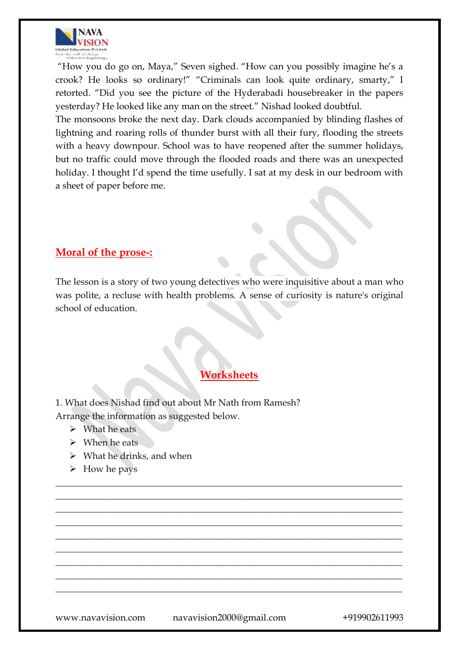

"How you do go on, Maya," Seven sighed. "How can you possibly imagine he's a crook? He looks so ordinary!" "Criminals can look quite ordinary, smarty," I retorted. "Did you see the picture of the Hyderabadi housebreaker in the papers yesterday? He looked like any man on the street." Nishad looked doubtful.

The monsoons broke the next day. Dark clouds accompanied by blinding flashes of lightning and roaring rolls of thunder burst with all their fury, flooding the streets with a heavy downpour. School was to have reopened after the summer holidays, but no traffic could move through the flooded roads and there was an unexpected holiday. I thought I'd spend the time usefully. I sat at my desk in our bedroom with a sheet of paper before me.

#### **Moral of the prose-:**

The lesson is a story of two young detectives who were inquisitive about a man who was polite, a recluse with health problems. A sense of curiosity is nature's original school of education.

#### **Worksheets**

\_\_\_\_\_\_\_\_\_\_\_\_\_\_\_\_\_\_\_\_\_\_\_\_\_\_\_\_\_\_\_\_\_\_\_\_\_\_\_\_\_\_\_\_\_\_\_\_\_\_\_\_\_\_\_\_\_\_\_\_\_\_\_\_\_\_\_\_\_\_\_\_\_\_\_ \_\_\_\_\_\_\_\_\_\_\_\_\_\_\_\_\_\_\_\_\_\_\_\_\_\_\_\_\_\_\_\_\_\_\_\_\_\_\_\_\_\_\_\_\_\_\_\_\_\_\_\_\_\_\_\_\_\_\_\_\_\_\_\_\_\_\_\_\_\_\_\_\_\_\_ \_\_\_\_\_\_\_\_\_\_\_\_\_\_\_\_\_\_\_\_\_\_\_\_\_\_\_\_\_\_\_\_\_\_\_\_\_\_\_\_\_\_\_\_\_\_\_\_\_\_\_\_\_\_\_\_\_\_\_\_\_\_\_\_\_\_\_\_\_\_\_\_\_\_\_ \_\_\_\_\_\_\_\_\_\_\_\_\_\_\_\_\_\_\_\_\_\_\_\_\_\_\_\_\_\_\_\_\_\_\_\_\_\_\_\_\_\_\_\_\_\_\_\_\_\_\_\_\_\_\_\_\_\_\_\_\_\_\_\_\_\_\_\_\_\_\_\_\_\_\_ \_\_\_\_\_\_\_\_\_\_\_\_\_\_\_\_\_\_\_\_\_\_\_\_\_\_\_\_\_\_\_\_\_\_\_\_\_\_\_\_\_\_\_\_\_\_\_\_\_\_\_\_\_\_\_\_\_\_\_\_\_\_\_\_\_\_\_\_\_\_\_\_\_\_\_ \_\_\_\_\_\_\_\_\_\_\_\_\_\_\_\_\_\_\_\_\_\_\_\_\_\_\_\_\_\_\_\_\_\_\_\_\_\_\_\_\_\_\_\_\_\_\_\_\_\_\_\_\_\_\_\_\_\_\_\_\_\_\_\_\_\_\_\_\_\_\_\_\_\_\_ \_\_\_\_\_\_\_\_\_\_\_\_\_\_\_\_\_\_\_\_\_\_\_\_\_\_\_\_\_\_\_\_\_\_\_\_\_\_\_\_\_\_\_\_\_\_\_\_\_\_\_\_\_\_\_\_\_\_\_\_\_\_\_\_\_\_\_\_\_\_\_\_\_\_\_ \_\_\_\_\_\_\_\_\_\_\_\_\_\_\_\_\_\_\_\_\_\_\_\_\_\_\_\_\_\_\_\_\_\_\_\_\_\_\_\_\_\_\_\_\_\_\_\_\_\_\_\_\_\_\_\_\_\_\_\_\_\_\_\_\_\_\_\_\_\_\_\_\_\_\_ \_\_\_\_\_\_\_\_\_\_\_\_\_\_\_\_\_\_\_\_\_\_\_\_\_\_\_\_\_\_\_\_\_\_\_\_\_\_\_\_\_\_\_\_\_\_\_\_\_\_\_\_\_\_\_\_\_\_\_\_\_\_\_\_\_\_\_\_\_\_\_\_\_\_\_

1. What does Nishad find out about Mr Nath from Ramesh? Arrange the information as suggested below.

- $\triangleright$  What he eats
- $\triangleright$  When he eats
- $\triangleright$  What he drinks, and when
- $\triangleright$  How he pays

www.navavision.com navavision2000@gmail.com +919902611993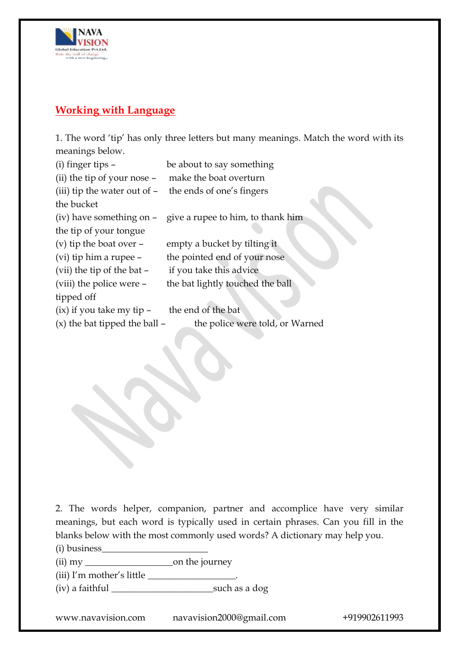

## **Working with Language**

1. The word 'tip' has only three letters but many meanings. Match the word with its meanings below.

| $(i)$ finger tips $-$             | be about to say something                                  |
|-----------------------------------|------------------------------------------------------------|
| (ii) the tip of your nose -       | make the boat overturn                                     |
| (iii) tip the water out of $-$    | the ends of one's fingers                                  |
| the bucket                        |                                                            |
|                                   | (iv) have something on - give a rupee to him, to thank him |
| the tip of your tongue            |                                                            |
| (v) tip the boat over $-$         | empty a bucket by tilting it                               |
| (vi) tip him a rupee –            | the pointed end of your nose                               |
| (vii) the tip of the bat -        | if you take this advice                                    |
| (viii) the police were -          | the bat lightly touched the ball                           |
| tipped off                        |                                                            |
| $(ix)$ if you take my tip $-$     | the end of the bat                                         |
| $(x)$ the bat tipped the ball $-$ | the police were told, or Warned                            |
|                                   |                                                            |

2. The words helper, companion, partner and accomplice have very similar meanings, but each word is typically used in certain phrases. Can you fill in the blanks below with the most commonly used words? A dictionary may help you.

(i) business\_\_\_\_\_\_\_\_\_\_\_\_\_\_\_\_\_\_\_\_\_\_\_

(ii) my \_\_\_\_\_\_\_\_\_\_\_\_\_\_\_\_\_\_\_on the journey

(iii) I'm mother's little  $\_\_\_\_\_\_\_\_\_\_\_\_\_\_\_\_\_\_$ 

(iv) a faithful \_\_\_\_\_\_\_\_\_\_\_\_\_\_\_\_\_\_\_\_\_\_such as a dog

www.navavision.com navavision2000@gmail.com +919902611993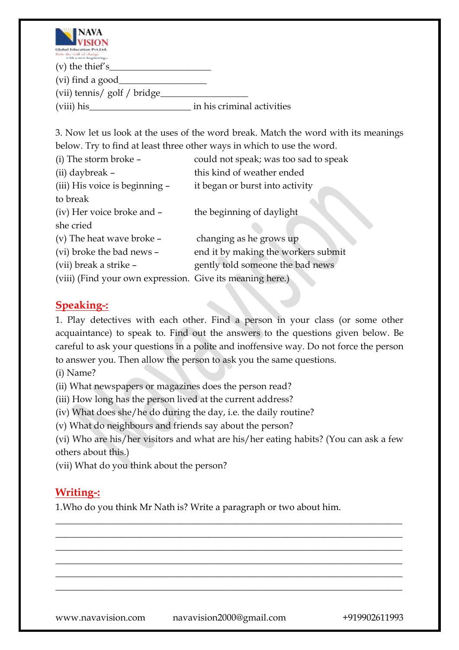

| _____<br>Global Education Pvt.Ltd.              |                            |
|-------------------------------------------------|----------------------------|
| Ride the wall of change<br>with a new hoginning |                            |
| $(v)$ the thief's $\_\_$                        |                            |
| (vi) find a good_                               |                            |
| (vii) tennis/ golf / bridge_                    |                            |
| (viii) his                                      | in his criminal activities |

3. Now let us look at the uses of the word break. Match the word with its meanings below. Try to find at least three other ways in which to use the word.

| (i) The storm broke -                                     | could not speak; was too sad to speak |
|-----------------------------------------------------------|---------------------------------------|
| (ii) daybreak -                                           | this kind of weather ended            |
| (iii) His voice is beginning -                            | it began or burst into activity       |
| to break                                                  |                                       |
| (iv) Her voice broke and -                                | the beginning of daylight             |
| she cried                                                 |                                       |
| (v) The heat wave broke -                                 | changing as he grows up               |
| (vi) broke the bad news -                                 | end it by making the workers submit   |
| (vii) break a strike -                                    | gently told someone the bad news      |
| (viii) (Find your own expression. Give its meaning here.) |                                       |

# **Speaking-:**

1. Play detectives with each other. Find a person in your class (or some other acquaintance) to speak to. Find out the answers to the questions given below. Be careful to ask your questions in a polite and inoffensive way. Do not force the person to answer you. Then allow the person to ask you the same questions.

(i) Name?

(ii) What newspapers or magazines does the person read?

(iii) How long has the person lived at the current address?

(iv) What does she/he do during the day, i.e. the daily routine?

(v) What do neighbours and friends say about the person?

(vi) Who are his/her visitors and what are his/her eating habits? (You can ask a few others about this.)

\_\_\_\_\_\_\_\_\_\_\_\_\_\_\_\_\_\_\_\_\_\_\_\_\_\_\_\_\_\_\_\_\_\_\_\_\_\_\_\_\_\_\_\_\_\_\_\_\_\_\_\_\_\_\_\_\_\_\_\_\_\_\_\_\_\_\_\_\_\_\_\_\_\_\_ \_\_\_\_\_\_\_\_\_\_\_\_\_\_\_\_\_\_\_\_\_\_\_\_\_\_\_\_\_\_\_\_\_\_\_\_\_\_\_\_\_\_\_\_\_\_\_\_\_\_\_\_\_\_\_\_\_\_\_\_\_\_\_\_\_\_\_\_\_\_\_\_\_\_\_ \_\_\_\_\_\_\_\_\_\_\_\_\_\_\_\_\_\_\_\_\_\_\_\_\_\_\_\_\_\_\_\_\_\_\_\_\_\_\_\_\_\_\_\_\_\_\_\_\_\_\_\_\_\_\_\_\_\_\_\_\_\_\_\_\_\_\_\_\_\_\_\_\_\_\_ \_\_\_\_\_\_\_\_\_\_\_\_\_\_\_\_\_\_\_\_\_\_\_\_\_\_\_\_\_\_\_\_\_\_\_\_\_\_\_\_\_\_\_\_\_\_\_\_\_\_\_\_\_\_\_\_\_\_\_\_\_\_\_\_\_\_\_\_\_\_\_\_\_\_\_ \_\_\_\_\_\_\_\_\_\_\_\_\_\_\_\_\_\_\_\_\_\_\_\_\_\_\_\_\_\_\_\_\_\_\_\_\_\_\_\_\_\_\_\_\_\_\_\_\_\_\_\_\_\_\_\_\_\_\_\_\_\_\_\_\_\_\_\_\_\_\_\_\_\_\_ \_\_\_\_\_\_\_\_\_\_\_\_\_\_\_\_\_\_\_\_\_\_\_\_\_\_\_\_\_\_\_\_\_\_\_\_\_\_\_\_\_\_\_\_\_\_\_\_\_\_\_\_\_\_\_\_\_\_\_\_\_\_\_\_\_\_\_\_\_\_\_\_\_\_\_

(vii) What do you think about the person?

# **Writing-:**

1.Who do you think Mr Nath is? Write a paragraph or two about him.